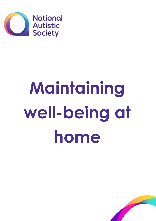

# **Maintaining well-being at home**

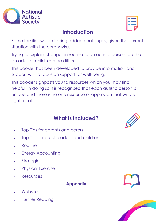

| <b>Contract</b> |  |  |
|-----------------|--|--|
|                 |  |  |
|                 |  |  |
|                 |  |  |

# **Introduction**

Some families will be facing added challenges, given the current situation with the coronavirus.

Trying to explain changes in routine to an autistic person, be that an adult or child, can be difficult.

This booklet has been developed to provide information and support with a focus on support for well-being.

This booklet signposts you to resources which you may find helpful. In doing so it is recognised that each autistic person is unique and there is no one resource or approach that will be right for all.

# **What is included?**



- Top Tips for parents and carers
- Top Tips for autistic adults and children
- Routine
- Energy Accounting
- **Strategies**
- Physical Exercise
- Resources

#### **Appendix**

- **Websites**
- Further Reading



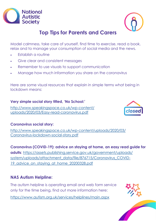



# **Top Tips for Parents and Carers**

Model calmness, take care of yourself, find time to exercise, read a book, relax and to manage your consumption of social media and the news.

- Establish a routine
- Give clear and consistent messages
- Remember to use visuals to support communication
- Manage how much information you share on the coronavirus

Here are some visual resources that explain in simple terms what being in lockdown means:

#### **Very simple social story titled, 'No School:'**

[http://www.speakingspace.co.uk/wp-content/](http://www.speakingspace.co.uk/wp-content/uploads/2020/03/Easy-read-coronavirus.pdf) [uploads/2020/03/Easy-read-coronavirus.pdf](http://www.speakingspace.co.uk/wp-content/uploads/2020/03/Easy-read-coronavirus.pdf)



#### **Coronavirus social story:**

[http://www.speakingspace.co.uk/wp-content/uploads/2020/03/](http://www.speakingspace.co.uk/wp-content/uploads/2020/03/Coronavirus-lockdown-social-story.pdf) [Coronavirus-lockdown-social-story.pdf](http://www.speakingspace.co.uk/wp-content/uploads/2020/03/Coronavirus-lockdown-social-story.pdf)

**Coronavirus (COVID-19): advice on staying at home, an easy read guide for adults**: [https://assets.publishing.service.gov.uk/government/uploads/](https://assets.publishing.service.gov.uk/government/uploads/system/uploads/attachment_data/file/876715/Coronavirus_COVID-19_advice_on_staying_at_home_20200328.pdf) [system/uploads/attachment\\_data/file/876715/Coronavirus\\_COVID-](https://assets.publishing.service.gov.uk/government/uploads/system/uploads/attachment_data/file/876715/Coronavirus_COVID-19_advice_on_staying_at_home_20200328.pdf)19 advice on staying at home 20200328.pdf

#### **NAS Autism Helpline:**

The autism helpline is operating email and web form service only for the time being, find out more information here:

<https://www.autism.org.uk/services/helplines/main.aspx>

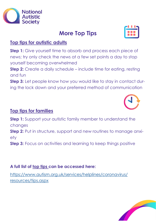

**Step 2:** Create a daily schedule – include time for eating, resting

**Step 3:** Let people know how you would like to stay in contact during the lock down and your preferred method of communication

# **Top tips for families**

**Top tips for autistic adults**

yourself becoming overwhelmed

**Step 1:** Support your autistic family member to understand the changes **Step 2:** Put in structure, support and new routines to manage anxiety

**Step 3:** Focus on activities and learning to keep things positive

# **A full list of top tips can be accessed here:**

[https://www.autism.org.uk/services/helplines/coronavirus/](https://www.autism.org.uk/services/helplines/coronavirus/resources/tips.aspx) [resources/tips.aspx](https://www.autism.org.uk/services/helplines/coronavirus/resources/tips.aspx)



and fun

# **More Top Tips**

**Step 1:** Give yourself time to absorb and process each piece of

news; try only check the news at a few set points a day to stop



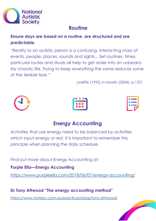

# **Routine**

**Ensure days are based on a routine, are structured and are predictable.**

"Reality to an autistic person is a confusing, interacting mass of events, people, places, sounds and sights... Set routines, times, particular routes and rituals all help to get order into an unbearably chaotic life. Trying to keep everything the same reduces some of the terrible fear."

(Jolliffe (1992) in Howlin (2004), p.137)







# **Energy Accounting**

Activities that use energy need to be balanced by activities which input energy or rest. It is important to remember this principle when planning the daily schedule.

Find out more about Energy Accounting at:

**Purple Ella—Energy Accounting**

<https://www.purpleella.com/2018/06/07/energy-accounting/>

**Dr Tony Attwood "The energy accounting method"** <https://www.hotdoc.com.au/practices/blog/tony-attwood/>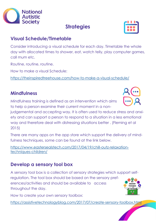

# **Visual Schedule/Timetable**

Consider introducing a visual schedule for each day. Timetable the whole day with allocated times to shower, eat, watch telly, play computer games, call mum etc.

Routine, routine, routine.

How to make a visual Schedule:

<https://theinspiredtreehouse.com/how-to-make-a-visual-schedule/>

# **Mindfulness**

Mindfulness training is defined as an intervention which aims to help a person examine their current moment in a non-

judgemental and accepting way. It is often used to reduce stress and anxiety and can support a person to respond to a situation in a less emotional way and therefore deal with distressing situations better . (Fleming et al 2015)

There are many apps on the app store which support the delivery of mindfulness techniques, some can be found at the link below.

[https://www.eastersealstech.com/2017/04/19/chill-outz-relaxation](https://www.eastersealstech.com/2017/04/19/chill-outz-relaxation-techniques-children/)[techniques-children/](https://www.eastersealstech.com/2017/04/19/chill-outz-relaxation-techniques-children/)

# **Develop a sensory tool box**

A sensory tool box is a collection of sensory strategies which support selfregulation. The tool box should be based on the sensory preferences/activities and should be available to access **COCODY DOLBOX** throughout the day.

How to create your own sensory toolbox:

<https://assistivetechnologyblog.com/2017/07/create-sensory-toolbox.html>









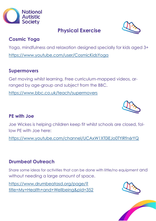

# **Cosmic Yoga**

Yoga, mindfulness and relaxation designed specially for kids aged 3+ <https://www.youtube.com/user/CosmicKidsYoga>

#### **Supermovers**

Get moving whilst learning. Free curriculum-mapped videos, arranged by age-group and subject from the BBC.

<https://www.bbc.co.uk/teach/supermovers>

#### **PE with Joe**

Joe Wickes is helping children keep fit whilst schools are closed, follow PE with Joe here:

<https://www.youtube.com/channel/UCAxW1XT0iEJo0TYlRfn6rYQ>

# **Drumbeat Outreach**

Share some ideas for activities that can be done with little/no equipment and without needing a large amount of space.

[https://www.drumbeatasd.org/page/?](https://www.drumbeatasd.org/page/?title=My+Health+and+Wellbeing&pid=352) [title=My+Health+and+Wellbeing&pid=352](https://www.drumbeatasd.org/page/?title=My+Health+and+Wellbeing&pid=352)







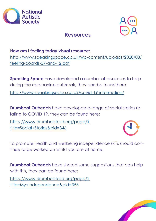



# **Resources**

#### **How am I feeling today visual resource:**

[http://www.speakingspace.co.uk/wp-content/uploads/2020/03/](http://www.speakingspace.co.uk/wp-content/uploads/2020/03/feeling-boards-57-and-12.pdf) [feeling-boards-57-and-12.pdf](http://www.speakingspace.co.uk/wp-content/uploads/2020/03/feeling-boards-57-and-12.pdf)

**Speaking Space** have developed a number of resources to help during the coronavirus outbreak, they can be found here:

<http://www.speakingspace.co.uk/covid-19-information/>

**Drumbeat Outreach** have developed a range of social stories relating to COVID 19, they can be found here:

[https://www.drumbeatasd.org/page/?](https://www.drumbeatasd.org/page/?title=Social+Stories&pid=346) [title=Social+Stories&pid=346](https://www.drumbeatasd.org/page/?title=Social+Stories&pid=346)



To promote health and wellbeing independence skills should continue to be worked on whilst you are at home.

**Drumbeat Outreach** have shared some suggestions that can help with this, they can be found here:

[https://www.drumbeatasd.org/page/?](https://www.drumbeatasd.org/page/?title=My+Independence&pid=356) [title=My+Independence&pid=356](https://www.drumbeatasd.org/page/?title=My+Independence&pid=356)

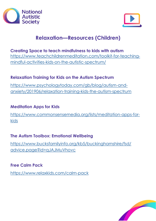



# **Relaxation—Resources (Children)**

# **Creating Space to teach mindfulness to kids with autism** [https://www.teachchildrenmeditation.com/toolkit-for-teaching](https://www.teachchildrenmeditation.com/toolkit-for-teaching-mindful-activities-kids-on-the-autistic-spectrum/)[mindful-activities-kids-on-the-autistic-spectrum/](https://www.teachchildrenmeditation.com/toolkit-for-teaching-mindful-activities-kids-on-the-autistic-spectrum/)

#### **Relaxation Training for Kids on the Autism Spectrum**

[https://www.psychologytoday.com/gb/blog/autism-and](https://www.psychologytoday.com/gb/blog/autism-and-anxiety/201906/relaxation-training-kids-the-autism-spectrum)[anxiety/201906/relaxation-training-kids-the-autism-spectrum](https://www.psychologytoday.com/gb/blog/autism-and-anxiety/201906/relaxation-training-kids-the-autism-spectrum)

#### **Meditation Apps for Kids**

[https://www.commonsensemedia.org/lists/meditation-apps-for](https://www.commonsensemedia.org/lists/meditation-apps-for-kids)[kids](https://www.commonsensemedia.org/lists/meditation-apps-for-kids)

#### **The Autism Toolbox: Emotional Wellbeing**

[https://www.bucksfamilyinfo.org/kb5/buckinghamshire/fsd/](https://www.bucksfamilyinfo.org/kb5/buckinghamshire/fsd/advice.page?id=qJAJMuVhovc) [advice.page?id=qJAJMuVhovc](https://www.bucksfamilyinfo.org/kb5/buckinghamshire/fsd/advice.page?id=qJAJMuVhovc)

#### **Free Calm Pack**

<https://www.relaxkids.com/calm-pack>

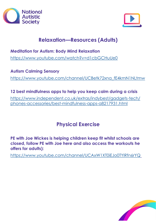



# **Relaxation—Resources (Adults)**

**Meditation for Autism: Body Mind Relaxation** <https://www.youtube.com/watch?v=d1cbGCHuUe0>

**Autism Calming Sensory** [https://www.youtube.com/channel/UCBetk72xna\\_fE4kmN1NLtmw](https://www.youtube.com/channel/UCBetk72xna_fE4kmN1NLtmw)

**12 best mindfulness apps to help you keep calm during a crisis** [https://www.independent.co.uk/extras/indybest/gadgets-tech/](https://www.independent.co.uk/extras/indybest/gadgets-tech/phones-accessories/best-mindfulness-apps-a8217931.html) [phones-accessories/best-mindfulness-apps-a8217931.html](https://www.independent.co.uk/extras/indybest/gadgets-tech/phones-accessories/best-mindfulness-apps-a8217931.html)

# **Physical Exercise**

**PE with Joe Wickes is helping children keep fit whilst schools are closed, follow PE with Joe here and also access the workouts he offers for adults):** 

<https://www.youtube.com/channel/UCAxW1XT0iEJo0TYlRfn6rYQ>

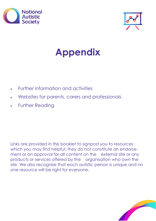



# **Appendix**

- Further information and activities
- Websites for parents, carers and professionals
- Further Reading

Links are provided in this booklet to signpost you to resources which you may find helpful; they do not constitute an endorsement or an approval for all content on the external site or any products or services offered by the organisation who own the site. We also recognise that each autistic person is unique and no one resource will be right for everyone.

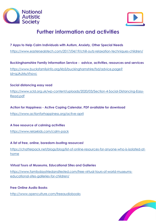



# **Further information and activities**

#### **7 Apps to Help Calm Individuals with Autism, Anxiety, Other Special Needs**

<https://www.eastersealstech.com/2017/04/19/chill-outz-relaxation-techniques-children/>

#### **Buckinghamshire Family Information Service - advice, activities, resources and services**

[https://www.bucksfamilyinfo.org/kb5/buckinghamshire/fsd/advice.page?](https://www.bucksfamilyinfo.org/kb5/buckinghamshire/fsd/advice.page?id=qJAJMuVhovc) [id=qJAJMuVhovc](https://www.bucksfamilyinfo.org/kb5/buckinghamshire/fsd/advice.page?id=qJAJMuVhovc)

#### **Social distancing easy read**

[https://www.scld.org.uk/wp-content/uploads/2020/03/Section-4-Social-Distancing-Easy-](https://www.scld.org.uk/wp-content/uploads/2020/03/Section-4-Social-Distancing-Easy-Read.pdf)[Read.pdf](https://www.scld.org.uk/wp-content/uploads/2020/03/Section-4-Social-Distancing-Easy-Read.pdf)

#### **Action for Happiness - Active Coping Calendar, PDF available for download**

<https://www.actionforhappiness.org/active-april>

#### **A free resource of calming activities**

<https://www.relaxkids.com/calm-pack>

#### **A list of free, online, boredom-busting resources!**

[https://chatterpack.net/blogs/blog/list-of-online-resources-for-anyone-who-is-isolated-at](https://chatterpack.net/blogs/blog/list-of-online-resources-for-anyone-who-is-isolated-at-home)[home](https://chatterpack.net/blogs/blog/list-of-online-resources-for-anyone-who-is-isolated-at-home)

#### **Virtual Tours of Museums, Educational Sites and Galleries**

[https://www.familydaystriedandtested.com/free-virtual-tours-of-world-museums](https://www.familydaystriedandtested.com/free-virtual-tours-of-world-museums-educational-sites-galleries-for-children/)[educational-sites-galleries-for-children/](https://www.familydaystriedandtested.com/free-virtual-tours-of-world-museums-educational-sites-galleries-for-children/)

#### **Free Online Audio Books**

<http://www.openculture.com/freeaudiobooks>

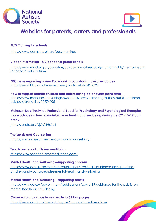



# **Websites for parents, carers and professionals**

#### **BUZZ Training for schools**

<https://www.compass-uk.org/buzz-training/>

**Video/ information—Guidance for professionals**

[https://www.mind.org.uk/about-us/our-policy-work/equality-human-rights/mental-health](https://www.mind.org.uk/about-us/our-policy-work/equality-human-rights/mental-health-of-people-with-autism/) [-of-people-with-autism/](https://www.mind.org.uk/about-us/our-policy-work/equality-human-rights/mental-health-of-people-with-autism/)

**BBC news regarding a new Facebook group sharing useful resources** <https://www.bbc.co.uk/news/uk-england-bristol-52019724>

**How to support autistic children and adults during coronavirus pandemic** [https://www.manchestereveningnews.co.uk/news/parenting/autism-autistic-children](https://www.manchestereveningnews.co.uk/news/parenting/autism-autistic-children-advice-coronavirus-17974005)[advice-coronavirus-17974005](https://www.manchestereveningnews.co.uk/news/parenting/autism-autistic-children-advice-coronavirus-17974005)

**Meherzin Das, Trustwide Professional Lead for Psychology and Psychological Therapies, share advice on how to maintain your health and wellbeing during the COVID-19 outbreak:** 

<https://youtu.be/QjCsfLPhXN4>

**Therapists and Counselling** <https://livingautism.com/therapists-and-counselling/>

**Teach teens and children meditation** <https://www.teachchildrenmeditation.com/>

**Mental Health and Wellbeing—supporting children** [https://www.gov.uk/government/publications/covid-19-guidance-on-supporting](https://www.gov.uk/government/publications/covid-19-guidance-on-supporting-children-and-young-peoples-mental-health-and-wellbeing)[children-and-young-peoples-mental-health-and-wellbeing](https://www.gov.uk/government/publications/covid-19-guidance-on-supporting-children-and-young-peoples-mental-health-and-wellbeing)

**Mental Health and Wellbeing—supporting adults** [https://www.gov.uk/government/publications/covid-19-guidance-for-the-public-on](https://www.gov.uk/government/publications/covid-19-guidance-for-the-public-on-mental-health-and-wellbeing)[mental-health-and-wellbeing](https://www.gov.uk/government/publications/covid-19-guidance-for-the-public-on-mental-health-and-wellbeing)

**Coronavirus guidance translated in to 35 languages** <https://www.doctorsoftheworld.org.uk/coronavirus-information/>